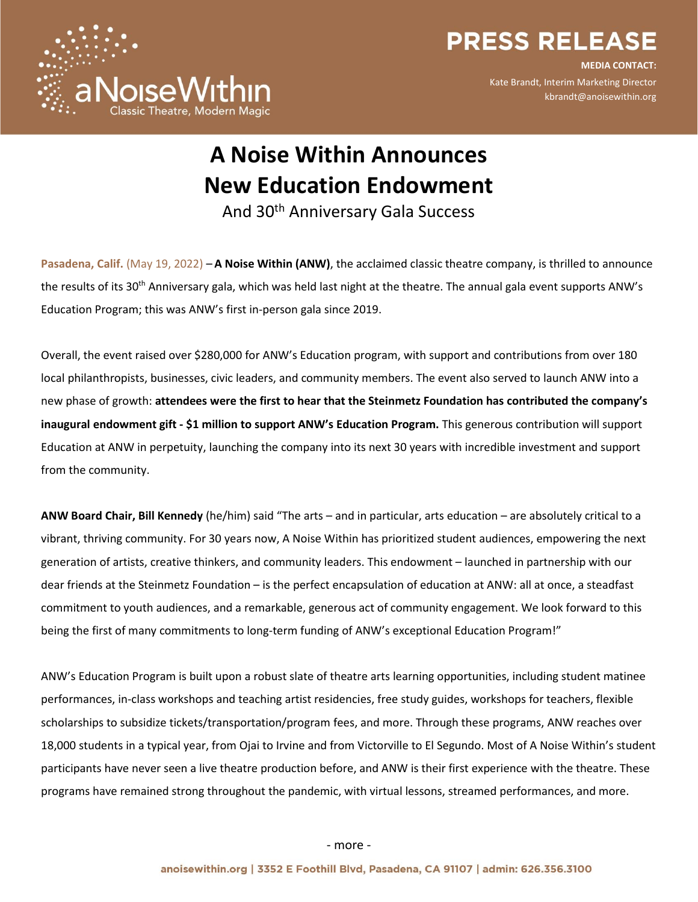

**PRESS RELEASE** 

**MEDIA CONTACT:** Kate Brandt, Interim Marketing Director kbrandt@anoisewithin.org

# **A Noise Within Announces New Education Endowment**

And 30th Anniversary Gala Success

**Pasadena, Calif.** (May 19, 2022) – **A Noise Within (ANW)**, the acclaimed classic theatre company, is thrilled to announce the results of its 30<sup>th</sup> Anniversary gala, which was held last night at the theatre. The annual gala event supports ANW's Education Program; this was ANW's first in-person gala since 2019.

Overall, the event raised over \$280,000 for ANW's Education program, with support and contributions from over 180 local philanthropists, businesses, civic leaders, and community members. The event also served to launch ANW into a new phase of growth: **attendees were the first to hear that the Steinmetz Foundation has contributed the company's inaugural endowment gift - \$1 million to support ANW's Education Program.** This generous contribution will support Education at ANW in perpetuity, launching the company into its next 30 years with incredible investment and support from the community.

**ANW Board Chair, Bill Kennedy** (he/him) said "The arts – and in particular, arts education – are absolutely critical to a vibrant, thriving community. For 30 years now, A Noise Within has prioritized student audiences, empowering the next generation of artists, creative thinkers, and community leaders. This endowment – launched in partnership with our dear friends at the Steinmetz Foundation – is the perfect encapsulation of education at ANW: all at once, a steadfast commitment to youth audiences, and a remarkable, generous act of community engagement. We look forward to this being the first of many commitments to long-term funding of ANW's exceptional Education Program!"

ANW's Education Program is built upon a robust slate of theatre arts learning opportunities, including student matinee performances, in-class workshops and teaching artist residencies, free study guides, workshops for teachers, flexible scholarships to subsidize tickets/transportation/program fees, and more. Through these programs, ANW reaches over 18,000 students in a typical year, from Ojai to Irvine and from Victorville to El Segundo. Most of A Noise Within's student participants have never seen a live theatre production before, and ANW is their first experience with the theatre. These programs have remained strong throughout the pandemic, with virtual lessons, streamed performances, and more.

- more -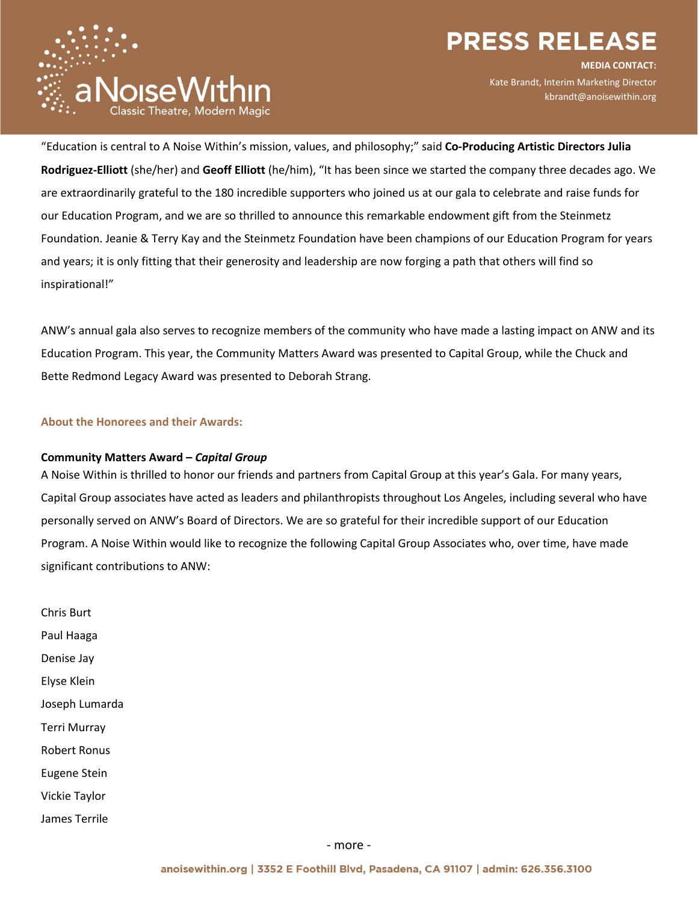## **PRESS RELEASE**



**MEDIA CONTACT:** Kate Brandt, Interim Marketing Director kbrandt@anoisewithin.org

"Education is central to A Noise Within's mission, values, and philosophy;" said **Co-Producing Artistic Directors Julia Rodriguez-Elliott** (she/her) and **Geoff Elliott** (he/him), "It has been since we started the company three decades ago. We are extraordinarily grateful to the 180 incredible supporters who joined us at our gala to celebrate and raise funds for our Education Program, and we are so thrilled to announce this remarkable endowment gift from the Steinmetz Foundation. Jeanie & Terry Kay and the Steinmetz Foundation have been champions of our Education Program for years and years; it is only fitting that their generosity and leadership are now forging a path that others will find so inspirational!"

ANW's annual gala also serves to recognize members of the community who have made a lasting impact on ANW and its Education Program. This year, the Community Matters Award was presented to Capital Group, while the Chuck and Bette Redmond Legacy Award was presented to Deborah Strang.

**About the Honorees and their Awards:**

## **Community Matters Award –** *Capital Group*

A Noise Within is thrilled to honor our friends and partners from Capital Group at this year's Gala. For many years, Capital Group associates have acted as leaders and philanthropists throughout Los Angeles, including several who have personally served on ANW's Board of Directors. We are so grateful for their incredible support of our Education Program. A Noise Within would like to recognize the following Capital Group Associates who, over time, have made significant contributions to ANW:

Chris Burt Paul Haaga Denise Jay Elyse Klein Joseph Lumarda Terri Murray Robert Ronus Eugene Stein Vickie Taylor James Terrile